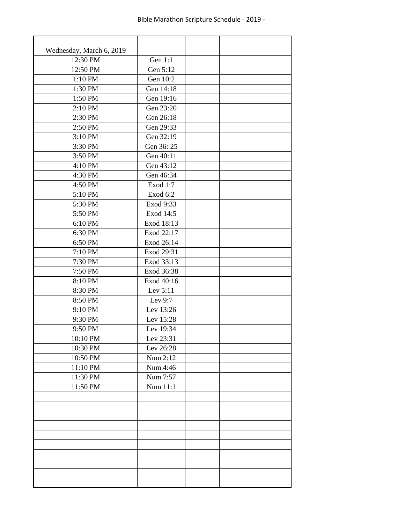| Wednesday, March 6, 2019 |            |  |
|--------------------------|------------|--|
| 12:30 PM                 | Gen 1:1    |  |
| 12:50 PM                 | Gen 5:12   |  |
| 1:10 PM                  | Gen 10:2   |  |
| 1:30 PM                  | Gen 14:18  |  |
| 1:50 PM                  | Gen 19:16  |  |
| 2:10 PM                  | Gen 23:20  |  |
| 2:30 PM                  | Gen 26:18  |  |
| 2:50 PM                  | Gen 29:33  |  |
| 3:10 PM                  | Gen 32:19  |  |
| 3:30 PM                  | Gen 36:25  |  |
| 3:50 PM                  | Gen 40:11  |  |
| 4:10 PM                  | Gen 43:12  |  |
| 4:30 PM                  | Gen 46:34  |  |
| 4:50 PM                  | Exod 1:7   |  |
| 5:10 PM                  | Exod 6:2   |  |
| 5:30 PM                  | Exod 9:33  |  |
| 5:50 PM                  | Exod 14:5  |  |
| 6:10 PM                  | Exod 18:13 |  |
| 6:30 PM                  | Exod 22:17 |  |
| 6:50 PM                  | Exod 26:14 |  |
| 7:10 PM                  | Exod 29:31 |  |
| 7:30 PM                  | Exod 33:13 |  |
| 7:50 PM                  | Exod 36:38 |  |
| 8:10 PM                  | Exod 40:16 |  |
| 8:30 PM                  | Lev 5:11   |  |
| 8:50 PM                  | Lev 9:7    |  |
| 9:10 PM                  | Lev 13:26  |  |
| 9:30 PM                  | Lev 15:28  |  |
| 9:50 PM                  | Lev 19:34  |  |
| 10:10 PM                 | Lev 23:31  |  |
| 10:30 PM                 | Lev 26:28  |  |
| 10:50 PM                 | Num 2:12   |  |
| 11:10 PM                 | Num 4:46   |  |
| 11:30 PM                 | Num 7:57   |  |
| 11:50 PM                 | Num 11:1   |  |
|                          |            |  |
|                          |            |  |
|                          |            |  |
|                          |            |  |
|                          |            |  |
|                          |            |  |
|                          |            |  |
|                          |            |  |
|                          |            |  |
|                          |            |  |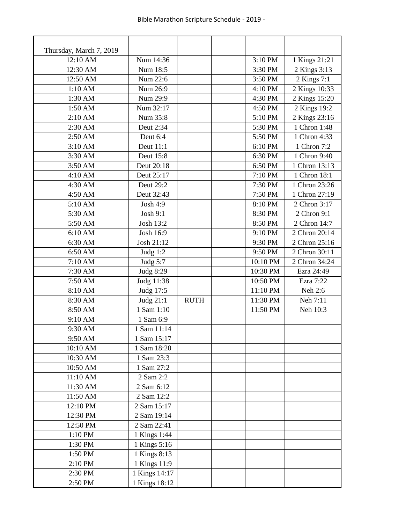| Thursday, March 7, 2019 |                                |             |          |               |
|-------------------------|--------------------------------|-------------|----------|---------------|
| 12:10 AM                | Num 14:36                      |             | 3:10 PM  | 1 Kings 21:21 |
| 12:30 AM                | Num 18:5                       |             | 3:30 PM  | 2 Kings 3:13  |
| 12:50 AM                | Num 22:6                       |             | 3:50 PM  | 2 Kings 7:1   |
| 1:10 AM                 | Num 26:9                       |             | 4:10 PM  | 2 Kings 10:33 |
| 1:30 AM                 | Num 29:9                       |             | 4:30 PM  | 2 Kings 15:20 |
| 1:50 AM                 | Num 32:17                      |             | 4:50 PM  | 2 Kings 19:2  |
| 2:10 AM                 | Num 35:8                       |             | 5:10 PM  | 2 Kings 23:16 |
| 2:30 AM                 | Deut 2:34                      |             | 5:30 PM  | 1 Chron 1:48  |
| 2:50 AM                 | Deut 6:4                       |             | 5:50 PM  | 1 Chron 4:33  |
| 3:10 AM                 | Deut 11:1                      |             | 6:10 PM  | 1 Chron 7:2   |
| 3:30 AM                 | Deut 15:8                      |             | 6:30 PM  | 1 Chron 9:40  |
| 3:50 AM                 | Deut 20:18                     |             | 6:50 PM  | 1 Chron 13:13 |
| 4:10 AM                 | Deut 25:17                     |             | 7:10 PM  | 1 Chron 18:1  |
| 4:30 AM                 | Deut 29:2                      |             | 7:30 PM  | 1 Chron 23:26 |
| 4:50 AM                 | Deut 32:43                     |             | 7:50 PM  | 1 Chron 27:19 |
| 5:10 AM                 | Josh 4:9                       |             | 8:10 PM  | 2 Chron 3:17  |
| 5:30 AM                 | Josh 9:1                       |             | 8:30 PM  | 2 Chron 9:1   |
| 5:50 AM                 | Josh 13:2                      |             | 8:50 PM  | 2 Chron 14:7  |
| 6:10 AM                 | Josh 16:9                      |             | 9:10 PM  | 2 Chron 20:14 |
| 6:30 AM                 | Josh 21:12                     |             | 9:30 PM  | 2 Chron 25:16 |
| 6:50 AM                 | Judg 1:2                       |             | 9:50 PM  | 2 Chron 30:11 |
| 7:10 AM                 | Judg $5:7$                     |             | 10:10 PM | 2 Chron 34:24 |
| 7:30 AM                 | Judg 8:29                      |             | 10:30 PM | Ezra 24:49    |
| 7:50 AM                 | Judg 11:38                     |             | 10:50 PM | Ezra 7:22     |
| 8:10 AM                 | Judg 17:5                      |             | 11:10 PM | Neh 2:6       |
| 8:30 AM                 | Judg 21:1                      | <b>RUTH</b> | 11:30 PM | Neh 7:11      |
| 8:50 AM                 | 1 Sam 1:10                     |             | 11:50 PM | Neh 10:3      |
| 9:10 AM                 | 1 Sam 6:9                      |             |          |               |
| 9:30 AM                 | 1 Sam 11:14                    |             |          |               |
| 9:50 AM                 | 1 Sam 15:17                    |             |          |               |
| 10:10 AM                | 1 Sam 18:20                    |             |          |               |
| 10:30 AM                | 1 Sam 23:3                     |             |          |               |
| 10:50 AM                | 1 Sam 27:2                     |             |          |               |
| 11:10 AM                | 2 Sam 2:2                      |             |          |               |
| 11:30 AM                | 2 Sam 6:12                     |             |          |               |
| 11:50 AM                | 2 Sam 12:2                     |             |          |               |
| 12:10 PM                | 2 Sam 15:17                    |             |          |               |
| 12:30 PM                | 2 Sam 19:14                    |             |          |               |
| 12:50 PM                | 2 Sam 22:41                    |             |          |               |
| 1:10 PM                 | 1 Kings 1:44                   |             |          |               |
| 1:30 PM                 | 1 Kings 5:16                   |             |          |               |
| 1:50 PM                 | 1 Kings 8:13                   |             |          |               |
| 2:10 PM                 | 1 Kings 11:9                   |             |          |               |
|                         |                                |             |          |               |
|                         |                                |             |          |               |
| 2:30 PM<br>2:50 PM      | 1 Kings 14:17<br>1 Kings 18:12 |             |          |               |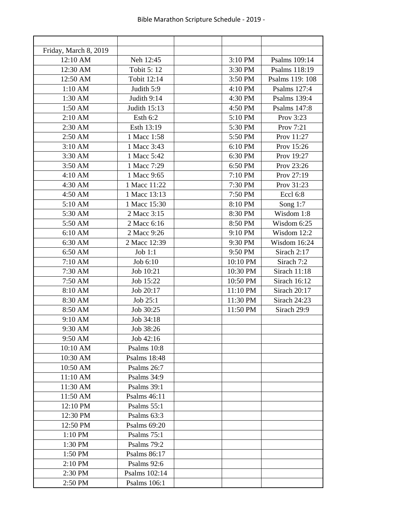| Friday, March 8, 2019 |               |          |                 |
|-----------------------|---------------|----------|-----------------|
| 12:10 AM              | Neh 12:45     | 3:10 PM  | Psalms 109:14   |
| 12:30 AM              | Tobit 5: 12   | 3:30 PM  | Psalms 118:19   |
| 12:50 AM              | Tobit 12:14   | 3:50 PM  | Psalms 119: 108 |
| 1:10 AM               | Judith 5:9    | 4:10 PM  | Psalms 127:4    |
| 1:30 AM               | Judith 9:14   | 4:30 PM  | Psalms 139:4    |
| 1:50 AM               | Judith 15:13  | 4:50 PM  | Psalms 147:8    |
| 2:10 AM               | Esth 6:2      | 5:10 PM  | Prov 3:23       |
| 2:30 AM               | Esth 13:19    | 5:30 PM  | Prov 7:21       |
| 2:50 AM               | 1 Macc 1:58   | 5:50 PM  | Prov 11:27      |
| 3:10 AM               | 1 Macc 3:43   | 6:10 PM  | Prov 15:26      |
| 3:30 AM               | 1 Macc 5:42   | 6:30 PM  | Prov 19:27      |
| 3:50 AM               | 1 Macc 7:29   | 6:50 PM  | Prov 23:26      |
| 4:10 AM               | 1 Macc 9:65   | 7:10 PM  | Prov 27:19      |
| 4:30 AM               | 1 Macc 11:22  | 7:30 PM  | Prov 31:23      |
| 4:50 AM               | 1 Macc 13:13  | 7:50 PM  | Eccl 6:8        |
| 5:10 AM               | 1 Macc 15:30  | 8:10 PM  | Song $1:7$      |
| 5:30 AM               | 2 Macc 3:15   | 8:30 PM  | Wisdom 1:8      |
| 5:50 AM               | 2 Macc 6:16   | 8:50 PM  | Wisdom 6:25     |
| 6:10 AM               | 2 Macc 9:26   | 9:10 PM  | Wisdom 12:2     |
| 6:30 AM               | 2 Macc 12:39  | 9:30 PM  | Wisdom 16:24    |
| 6:50 AM               | Job $1:1$     | 9:50 PM  | Sirach 2:17     |
| 7:10 AM               | Job 6:10      | 10:10 PM | Sirach 7:2      |
| 7:30 AM               | Job 10:21     | 10:30 PM | Sirach 11:18    |
| 7:50 AM               | Job 15:22     | 10:50 PM | Sirach 16:12    |
| 8:10 AM               | Job 20:17     | 11:10 PM | Sirach 20:17    |
| 8:30 AM               | Job 25:1      | 11:30 PM | Sirach 24:23    |
| 8:50 AM               | Job 30:25     | 11:50 PM | Sirach 29:9     |
| 9:10 AM               | Job 34:18     |          |                 |
| 9:30 AM               | Job 38:26     |          |                 |
| 9:50 AM               | Job 42:16     |          |                 |
| 10:10 AM              | Psalms 10:8   |          |                 |
| 10:30 AM              | Psalms 18:48  |          |                 |
| 10:50 AM              | Psalms 26:7   |          |                 |
| 11:10 AM              | Psalms 34:9   |          |                 |
| 11:30 AM              | Psalms 39:1   |          |                 |
| 11:50 AM              | Psalms 46:11  |          |                 |
| 12:10 PM              | Psalms 55:1   |          |                 |
| 12:30 PM              | Psalms 63:3   |          |                 |
| 12:50 PM              | Psalms 69:20  |          |                 |
| $1:10$ PM             | Psalms $75:1$ |          |                 |
| 1:30 PM               | Psalms 79:2   |          |                 |
| 1:50 PM               | Psalms 86:17  |          |                 |
| $2:10$ PM             | Psalms 92:6   |          |                 |
| 2:30 PM               | Psalms 102:14 |          |                 |
| 2:50 PM               | Psalms 106:1  |          |                 |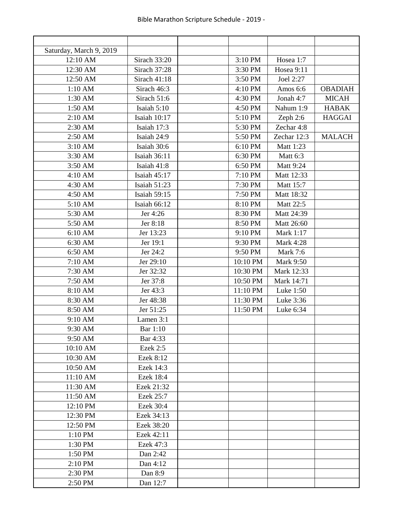| Saturday, March 9, 2019 |                     |          |                  |                |
|-------------------------|---------------------|----------|------------------|----------------|
| 12:10 AM                | Sirach 33:20        | 3:10 PM  | Hosea 1:7        |                |
| 12:30 AM                | Sirach 37:28        | 3:30 PM  | Hosea 9:11       |                |
| 12:50 AM                | Sirach 41:18        | 3:50 PM  | Joel 2:27        |                |
| 1:10 AM                 | Sirach 46:3         | 4:10 PM  | Amos 6:6         | <b>OBADIAH</b> |
| 1:30 AM                 | Sirach 51:6         | 4:30 PM  | Jonah 4:7        | <b>MICAH</b>   |
| 1:50 AM                 | Isaiah 5:10         | 4:50 PM  | Nahum 1:9        | <b>HABAK</b>   |
| 2:10 AM                 | <b>Isaiah 10:17</b> | 5:10 PM  | Zeph 2:6         | <b>HAGGAI</b>  |
| 2:30 AM                 | Isaiah 17:3         | 5:30 PM  | Zechar 4:8       |                |
| 2:50 AM                 | Isaiah 24:9         | 5:50 PM  | Zechar 12:3      | <b>MALACH</b>  |
| 3:10 AM                 | Isaiah 30:6         | 6:10 PM  | Matt 1:23        |                |
| 3:30 AM                 | <b>Isaiah 36:11</b> | 6:30 PM  | Matt 6:3         |                |
| 3:50 AM                 | Isaiah 41:8         | 6:50 PM  | Matt 9:24        |                |
| 4:10 AM                 | Isaiah 45:17        | 7:10 PM  | Matt 12:33       |                |
| 4:30 AM                 | <b>Isaiah 51:23</b> | 7:30 PM  | Matt 15:7        |                |
| 4:50 AM                 | <b>Isaiah 59:15</b> | 7:50 PM  | Matt 18:32       |                |
| 5:10 AM                 | Isaiah 66:12        | 8:10 PM  | Matt 22:5        |                |
| 5:30 AM                 | Jer 4:26            | 8:30 PM  | Matt 24:39       |                |
| 5:50 AM                 | Jer 8:18            | 8:50 PM  | Matt 26:60       |                |
| 6:10 AM                 | Jer 13:23           | 9:10 PM  | Mark 1:17        |                |
| 6:30 AM                 | Jer 19:1            | 9:30 PM  | <b>Mark 4:28</b> |                |
| 6:50 AM                 | Jer 24:2            | 9:50 PM  | <b>Mark 7:6</b>  |                |
| 7:10 AM                 | Jer 29:10           | 10:10 PM | <b>Mark 9:50</b> |                |
| 7:30 AM                 | Jer 32:32           | 10:30 PM | Mark 12:33       |                |
| 7:50 AM                 | Jer 37:8            | 10:50 PM | Mark 14:71       |                |
| 8:10 AM                 | Jer 43:3            | 11:10 PM | Luke 1:50        |                |
| 8:30 AM                 | Jer 48:38           | 11:30 PM | Luke 3:36        |                |
| 8:50 AM                 | Jer 51:25           | 11:50 PM | Luke 6:34        |                |
| 9:10 AM                 | Lamen 3:1           |          |                  |                |
| 9:30 AM                 | Bar 1:10            |          |                  |                |
| 9:50 AM                 | Bar 4:33            |          |                  |                |
| 10:10 AM                | Ezek 2:5            |          |                  |                |
| 10:30 AM                | Ezek 8:12           |          |                  |                |
| 10:50 AM                | Ezek 14:3           |          |                  |                |
| 11:10 AM                | Ezek 18:4           |          |                  |                |
| 11:30 AM                | Ezek 21:32          |          |                  |                |
| 11:50 AM                | Ezek 25:7           |          |                  |                |
| 12:10 PM                | Ezek 30:4           |          |                  |                |
| 12:30 PM                | Ezek 34:13          |          |                  |                |
| 12:50 PM                | Ezek 38:20          |          |                  |                |
| 1:10 PM                 | Ezek 42:11          |          |                  |                |
| 1:30 PM                 | Ezek 47:3           |          |                  |                |
| 1:50 PM                 | Dan 2:42            |          |                  |                |
| 2:10 PM                 | Dan 4:12            |          |                  |                |
| 2:30 PM                 | Dan 8:9             |          |                  |                |
| 2:50 PM                 | Dan 12:7            |          |                  |                |